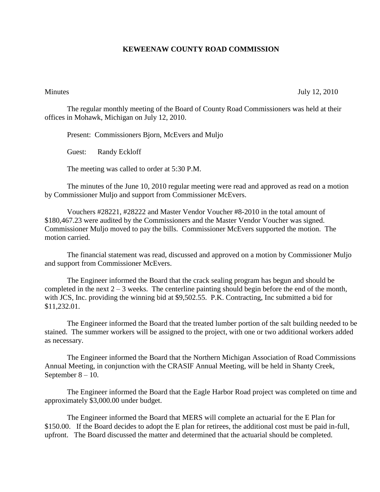## **KEWEENAW COUNTY ROAD COMMISSION**

Minutes July 12, 2010

The regular monthly meeting of the Board of County Road Commissioners was held at their offices in Mohawk, Michigan on July 12, 2010.

Present: Commissioners Bjorn, McEvers and Muljo

Guest: Randy Eckloff

The meeting was called to order at 5:30 P.M.

The minutes of the June 10, 2010 regular meeting were read and approved as read on a motion by Commissioner Muljo and support from Commissioner McEvers.

Vouchers #28221, #28222 and Master Vendor Voucher #8-2010 in the total amount of \$180,467.23 were audited by the Commissioners and the Master Vendor Voucher was signed. Commissioner Muljo moved to pay the bills. Commissioner McEvers supported the motion. The motion carried.

The financial statement was read, discussed and approved on a motion by Commissioner Muljo and support from Commissioner McEvers.

The Engineer informed the Board that the crack sealing program has begun and should be completed in the next  $2 - 3$  weeks. The centerline painting should begin before the end of the month, with JCS, Inc. providing the winning bid at \$9,502.55. P.K. Contracting, Inc submitted a bid for \$11,232.01.

The Engineer informed the Board that the treated lumber portion of the salt building needed to be stained. The summer workers will be assigned to the project, with one or two additional workers added as necessary.

The Engineer informed the Board that the Northern Michigan Association of Road Commissions Annual Meeting, in conjunction with the CRASIF Annual Meeting, will be held in Shanty Creek, September 8 – 10.

The Engineer informed the Board that the Eagle Harbor Road project was completed on time and approximately \$3,000.00 under budget.

The Engineer informed the Board that MERS will complete an actuarial for the E Plan for \$150.00. If the Board decides to adopt the E plan for retirees, the additional cost must be paid in-full, upfront. The Board discussed the matter and determined that the actuarial should be completed.